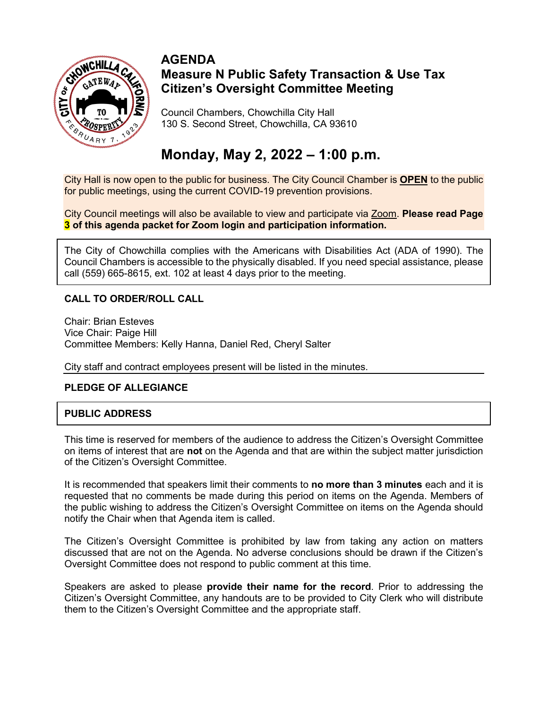

### **AGENDA Measure N Public Safety Transaction & Use Tax Citizen's Oversight Committee Meeting**

Council Chambers, Chowchilla City Hall 130 S. Second Street, Chowchilla, CA 93610

# **Monday, May 2, 2022 – 1:00 p.m.**

City Hall is now open to the public for business. The City Council Chamber is **OPEN** to the public for public meetings, using the current COVID-19 prevention provisions.

City Council meetings will also be available to view and participate via Zoom. **Please read Page 3 of this agenda packet for Zoom login and participation information.**

The City of Chowchilla complies with the Americans with Disabilities Act (ADA of 1990). The Council Chambers is accessible to the physically disabled. If you need special assistance, please call (559) 665-8615, ext. 102 at least 4 days prior to the meeting.

### **CALL TO ORDER/ROLL CALL**

Chair: Brian Esteves Vice Chair: Paige Hill Committee Members: Kelly Hanna, Daniel Red, Cheryl Salter

City staff and contract employees present will be listed in the minutes.

#### **PLEDGE OF ALLEGIANCE**

### **PUBLIC ADDRESS**

This time is reserved for members of the audience to address the Citizen's Oversight Committee on items of interest that are **not** on the Agenda and that are within the subject matter jurisdiction of the Citizen's Oversight Committee.

It is recommended that speakers limit their comments to **no more than 3 minutes** each and it is requested that no comments be made during this period on items on the Agenda. Members of the public wishing to address the Citizen's Oversight Committee on items on the Agenda should notify the Chair when that Agenda item is called.

The Citizen's Oversight Committee is prohibited by law from taking any action on matters discussed that are not on the Agenda. No adverse conclusions should be drawn if the Citizen's Oversight Committee does not respond to public comment at this time.

Speakers are asked to please **provide their name for the record**. Prior to addressing the Citizen's Oversight Committee, any handouts are to be provided to City Clerk who will distribute them to the Citizen's Oversight Committee and the appropriate staff.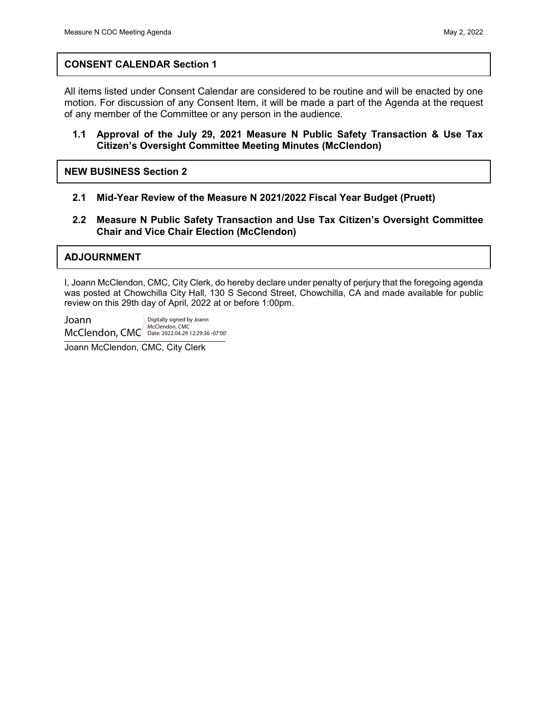#### <span id="page-1-0"></span>**CONSENT CALENDAR Section 1**

All items listed under Consent Calendar are considered to be routine and will be enacted by one motion. For discussion of any Consent Item, it will be made a part of the Agenda at the request of any member of the Committee or any person in the audience.

#### **1.1 Approval of the July 29, 2021 Measure N Public Safety Transaction & Use Tax [Citizen's Oversight Committee Meeting Minutes \(McClendon\)](#page-3-0)**

**NEW BUSINESS Section 2**

- **2.1 [Mid-Year Review of the Measure N 2021/2022](#page-4-0) Fiscal Year Budget (Pruett)**
- **2.2 [Measure N Public Safety Transaction and Use Tax Citizen's Oversight Committee](#page-6-0)  Chair and Vice Chair Election (McClendon)**

#### **ADJOURNMENT**

I, Joann McClendon, CMC, City Clerk, do hereby declare under penalty of perjury that the foregoing agenda was posted at Chowchilla City Hall, 130 S Second Street, Chowchilla, CA and made available for public review on this 29th day of April, 2022 at or before 1:00pm.

Joann McClendon, CMC Date: 2022.04.29 12:29:36 -07'00'Digitally signed by Joann McClendon, CMC

Joann McClendon, CMC, City Clerk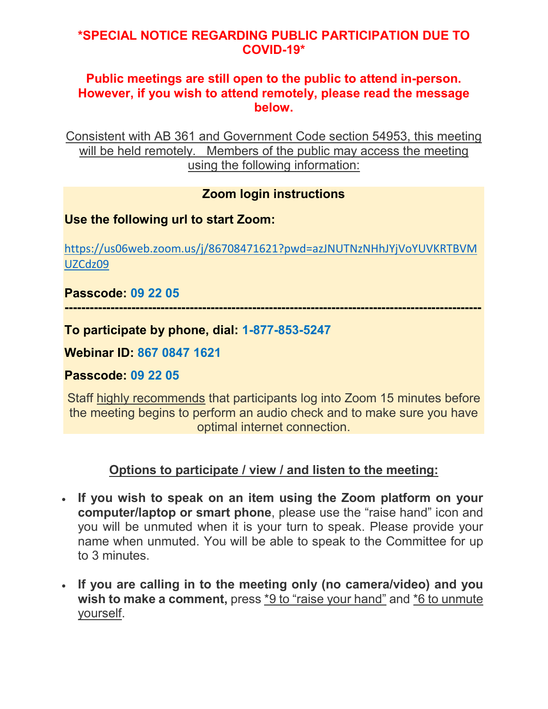# **\*SPECIAL NOTICE REGARDING PUBLIC PARTICIPATION DUE TO COVID-19\***

## **Public meetings are still open to the public to attend in-person. However, if you wish to attend remotely, please read the message below.**

Consistent with AB 361 and Government Code section 54953, this meeting will be held remotely. Members of the public may access the meeting using the following information:

# **Zoom login instructions**

# **Use the following url to start Zoom:**

[https://us06web.zoom.us/j/86708471621?pwd=azJNUTNzNHhJYjVoYUVKRTBVM](https://us06web.zoom.us/j/86708471621?pwd=azJNUTNzNHhJYjVoYUVKRTBVMUZCdz09) [UZCdz09](https://us06web.zoom.us/j/86708471621?pwd=azJNUTNzNHhJYjVoYUVKRTBVMUZCdz09)

**----------------------------------------------------------------------------------------------------**

# **Passcode: 09 22 05**

**To participate by phone, dial: 1-877-853-5247**

**Webinar ID: 867 0847 1621**

**Passcode: 09 22 05**

Staff highly recommends that participants log into Zoom 15 minutes before the meeting begins to perform an audio check and to make sure you have optimal internet connection.

# **Options to participate / view / and listen to the meeting:**

- **If you wish to speak on an item using the Zoom platform on your computer/laptop or smart phone**, please use the "raise hand" icon and you will be unmuted when it is your turn to speak. Please provide your name when unmuted. You will be able to speak to the Committee for up to 3 minutes.
- **If you are calling in to the meeting only (no camera/video) and you wish to make a comment,** press \*9 to "raise your hand" and \*6 to unmute yourself.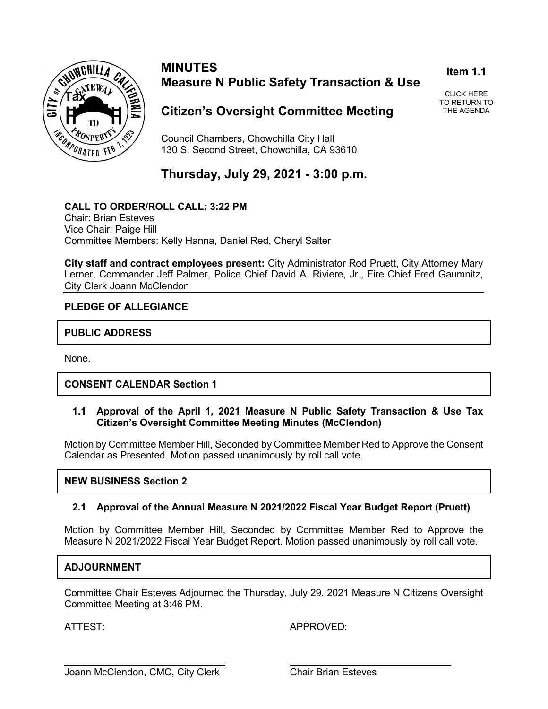<span id="page-3-0"></span>

### **MINUTES Measure N Public Safety Transaction & Use**

**Item 1.1**

CLICK HERE [TO RETURN TO](#page-1-0) THE AGENDA

### **Citizen's Oversight Committee Meeting**

Council Chambers, Chowchilla City Hall 130 S. Second Street, Chowchilla, CA 93610

# **Thursday, July 29, 2021 - 3:00 p.m.**

**CALL TO ORDER/ROLL CALL: 3:22 PM** Chair: Brian Esteves Vice Chair: Paige Hill Committee Members: Kelly Hanna, Daniel Red, Cheryl Salter

**City staff and contract employees present:** City Administrator Rod Pruett, City Attorney Mary Lerner, Commander Jeff Palmer, Police Chief David A. Riviere, Jr., Fire Chief Fred Gaumnitz, City Clerk Joann McClendon

### **PLEDGE OF ALLEGIANCE**

### **PUBLIC ADDRESS**

None.

### **CONSENT CALENDAR Section 1**

**1.1 Approval of the April 1, 2021 Measure N Public Safety Transaction & Use Tax Citizen's Oversight Committee Meeting Minutes (McClendon)**

Motion by Committee Member Hill, Seconded by Committee Member Red to Approve the Consent Calendar as Presented. Motion passed unanimously by roll call vote.

#### **NEW BUSINESS Section 2**

#### **2.1 Approval of the Annual Measure N 2021/2022 Fiscal Year Budget Report (Pruett)**

Motion by Committee Member Hill, Seconded by Committee Member Red to Approve the Measure N 2021/2022 Fiscal Year Budget Report. Motion passed unanimously by roll call vote.

#### **ADJOURNMENT**

Committee Chair Esteves Adjourned the Thursday, July 29, 2021 Measure N Citizens Oversight Committee Meeting at 3:46 PM.

ATTEST: APPROVED: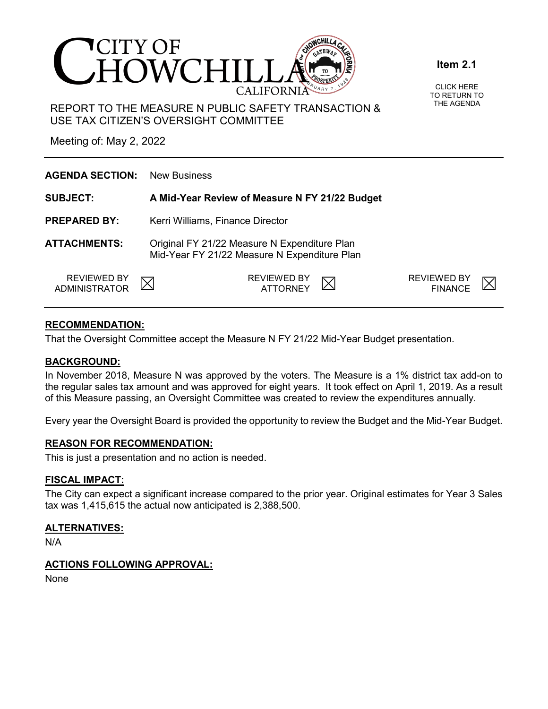<span id="page-4-0"></span>

#### **Item 2.1**

CLICK HERE [TO RETURN TO](#page-1-0) THE AGENDA

REPORT TO THE MEASURE N PUBLIC SAFETY TRANSACTION & USE TAX CITIZEN'S OVERSIGHT COMMITTEE

Meeting of: May 2, 2022

| <b>AGENDA SECTION:</b>                     | <b>New Business</b>                                                                          |                                      |  |  |  |
|--------------------------------------------|----------------------------------------------------------------------------------------------|--------------------------------------|--|--|--|
| <b>SUBJECT:</b>                            | A Mid-Year Review of Measure N FY 21/22 Budget                                               |                                      |  |  |  |
| <b>PREPARED BY:</b>                        | Kerri Williams, Finance Director                                                             |                                      |  |  |  |
| <b>ATTACHMENTS:</b>                        | Original FY 21/22 Measure N Expenditure Plan<br>Mid-Year FY 21/22 Measure N Expenditure Plan |                                      |  |  |  |
| <b>REVIEWED BY</b><br><b>ADMINISTRATOR</b> | <b>REVIEWED BY</b><br>ATTORNEY                                                               | <b>REVIEWED BY</b><br><b>FINANCE</b> |  |  |  |

### **RECOMMENDATION:**

That the Oversight Committee accept the Measure N FY 21/22 Mid-Year Budget presentation.

#### **BACKGROUND:**

In November 2018, Measure N was approved by the voters. The Measure is a 1% district tax add-on to the regular sales tax amount and was approved for eight years. It took effect on April 1, 2019. As a result of this Measure passing, an Oversight Committee was created to review the expenditures annually.

Every year the Oversight Board is provided the opportunity to review the Budget and the Mid-Year Budget.

#### **REASON FOR RECOMMENDATION:**

This is just a presentation and no action is needed.

#### **FISCAL IMPACT:**

The City can expect a significant increase compared to the prior year. Original estimates for Year 3 Sales tax was 1,415,615 the actual now anticipated is 2,388,500.

#### **ALTERNATIVES:**

N/A

#### **ACTIONS FOLLOWING APPROVAL:**

None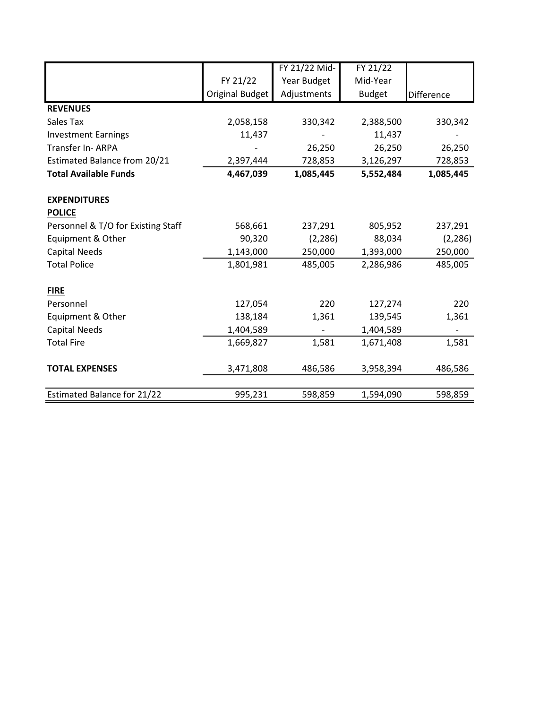|                                    |                 | FY 21/22 Mid-            | FY 21/22      |                          |
|------------------------------------|-----------------|--------------------------|---------------|--------------------------|
|                                    | FY 21/22        | Year Budget              | Mid-Year      |                          |
|                                    | Original Budget | Adjustments              | <b>Budget</b> | Difference               |
| <b>REVENUES</b>                    |                 |                          |               |                          |
| Sales Tax                          | 2,058,158       | 330,342                  | 2,388,500     | 330,342                  |
| <b>Investment Earnings</b>         | 11,437          |                          | 11,437        |                          |
| Transfer In-ARPA                   |                 | 26,250                   | 26,250        | 26,250                   |
| Estimated Balance from 20/21       | 2,397,444       | 728,853                  | 3,126,297     | 728,853                  |
| <b>Total Available Funds</b>       | 4,467,039       | 1,085,445                | 5,552,484     | 1,085,445                |
| <b>EXPENDITURES</b>                |                 |                          |               |                          |
| <b>POLICE</b>                      |                 |                          |               |                          |
| Personnel & T/O for Existing Staff | 568,661         | 237,291                  | 805,952       | 237,291                  |
| Equipment & Other                  | 90,320          | (2, 286)                 | 88,034        | (2, 286)                 |
| <b>Capital Needs</b>               | 1,143,000       | 250,000                  | 1,393,000     | 250,000                  |
| <b>Total Police</b>                | 1,801,981       | 485,005                  | 2,286,986     | 485,005                  |
| <b>FIRE</b>                        |                 |                          |               |                          |
| Personnel                          | 127,054         | 220                      | 127,274       | 220                      |
| Equipment & Other                  | 138,184         | 1,361                    | 139,545       | 1,361                    |
| <b>Capital Needs</b>               | 1,404,589       | $\overline{\phantom{a}}$ | 1,404,589     | $\overline{\phantom{a}}$ |
| <b>Total Fire</b>                  | 1,669,827       | 1,581                    | 1,671,408     | 1,581                    |
| <b>TOTAL EXPENSES</b>              | 3,471,808       | 486,586                  | 3,958,394     | 486,586                  |
| <b>Estimated Balance for 21/22</b> | 995,231         | 598,859                  | 1,594,090     | 598,859                  |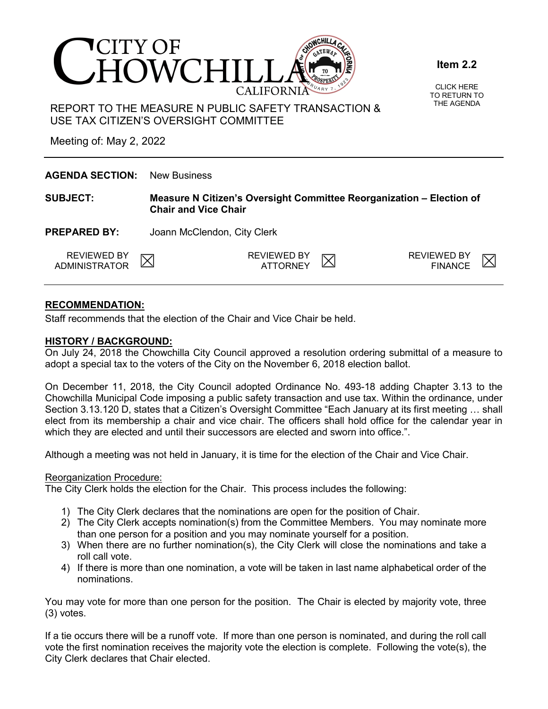<span id="page-6-0"></span>

#### **Item 2.2**

CLICK HERE [TO RETURN TO](#page-1-0) THE AGENDA

REPORT TO THE MEASURE N PUBLIC SAFETY TRANSACTION & USE TAX CITIZEN'S OVERSIGHT COMMITTEE

Meeting of: May 2, 2022

| <b>AGENDA SECTION:</b>       | <b>New Business</b>                                                                                 |                         |  |                                      |  |  |  |  |
|------------------------------|-----------------------------------------------------------------------------------------------------|-------------------------|--|--------------------------------------|--|--|--|--|
| <b>SUBJECT:</b>              | Measure N Citizen's Oversight Committee Reorganization – Election of<br><b>Chair and Vice Chair</b> |                         |  |                                      |  |  |  |  |
| <b>PREPARED BY:</b>          | Joann McClendon, City Clerk                                                                         |                         |  |                                      |  |  |  |  |
| REVIEWED BY<br>ADMINISTRATOR |                                                                                                     | REVIEWED BY<br>ATTORNEY |  | <b>REVIEWED BY</b><br><b>FINANCE</b> |  |  |  |  |

### **RECOMMENDATION:**

Staff recommends that the election of the Chair and Vice Chair be held.

#### **HISTORY / BACKGROUND:**

On July 24, 2018 the Chowchilla City Council approved a resolution ordering submittal of a measure to adopt a special tax to the voters of the City on the November 6, 2018 election ballot.

On December 11, 2018, the City Council adopted Ordinance No. 493-18 adding Chapter 3.13 to the Chowchilla Municipal Code imposing a public safety transaction and use tax. Within the ordinance, under Section 3.13.120 D, states that a Citizen's Oversight Committee "Each January at its first meeting … shall elect from its membership a chair and vice chair. The officers shall hold office for the calendar year in which they are elected and until their successors are elected and sworn into office.".

Although a meeting was not held in January, it is time for the election of the Chair and Vice Chair.

#### Reorganization Procedure:

The City Clerk holds the election for the Chair. This process includes the following:

- 1) The City Clerk declares that the nominations are open for the position of Chair.
- 2) The City Clerk accepts nomination(s) from the Committee Members. You may nominate more than one person for a position and you may nominate yourself for a position.
- 3) When there are no further nomination(s), the City Clerk will close the nominations and take a roll call vote.
- 4) If there is more than one nomination, a vote will be taken in last name alphabetical order of the nominations.

You may vote for more than one person for the position. The Chair is elected by majority vote, three (3) votes.

If a tie occurs there will be a runoff vote. If more than one person is nominated, and during the roll call vote the first nomination receives the majority vote the election is complete. Following the vote(s), the City Clerk declares that Chair elected.